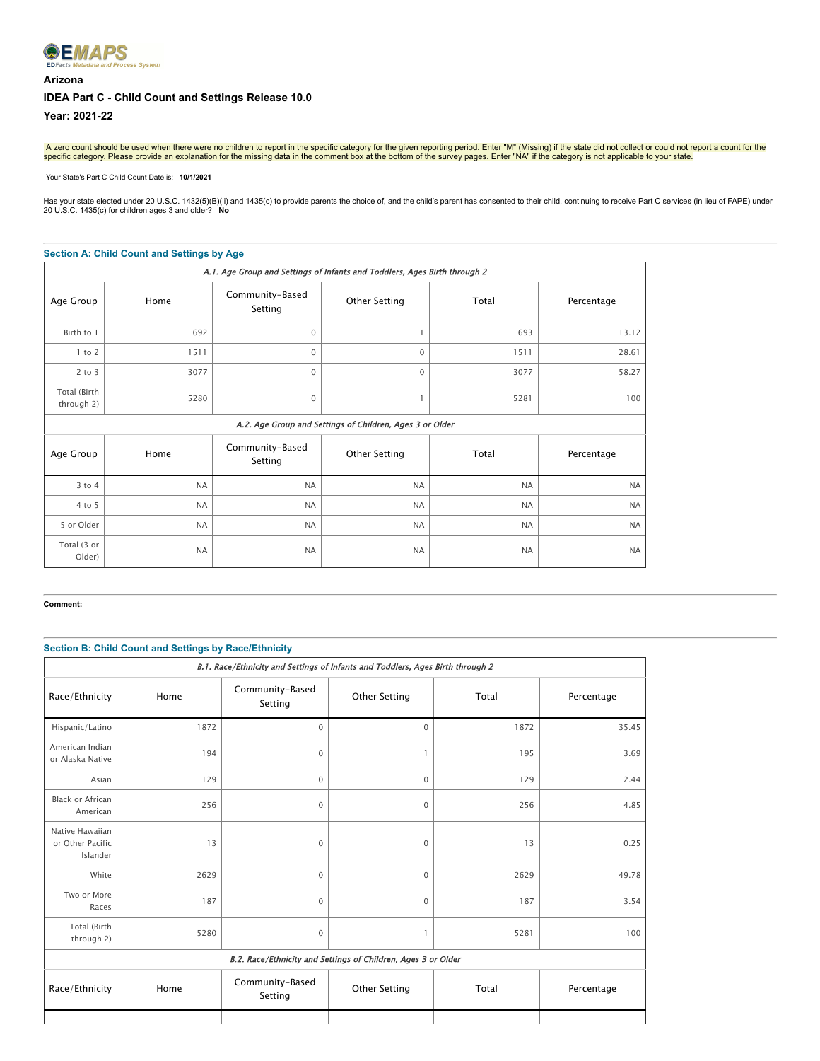# **®EMAPS** ss System **Arizona IDEA Part C - Child Count and Settings Release 10.0**

**Year: 2021-22**

A zero count should be used when there were no children to report in the specific category for the given reporting period. Enter "M" (Missing) if the state did not collect or could not report a count for the<br>specific categ

 Your State's Part C Child Count Date is: **10/1/2021** 

Has your state elected under 20 U.S.C. 1432(5)(B)(ii) and 1435(c) to provide parents the choice of, and the child's parent has consented to their child, continuing to receive Part C services (in lieu of FAPE) under<br>20 U.S.

#### **Section A: Child Count and Settings by Age**

| A.1. Age Group and Settings of Infants and Toddlers, Ages Birth through 2 |           |                            |                                                          |           |            |
|---------------------------------------------------------------------------|-----------|----------------------------|----------------------------------------------------------|-----------|------------|
| Age Group                                                                 | Home      | Community-Based<br>Setting | <b>Other Setting</b>                                     | Total     | Percentage |
| Birth to 1                                                                | 692       | 0                          |                                                          | 693       | 13.12      |
| $1$ to $2$                                                                | 1511      | 0                          | $\mathbf 0$                                              | 1511      | 28.61      |
| $2$ to $3$                                                                | 3077      | $\Omega$                   | $\mathbf 0$                                              | 3077      | 58.27      |
| Total (Birth<br>through 2)                                                | 5280      | 0                          |                                                          | 5281      | 100        |
|                                                                           |           |                            | A.2. Age Group and Settings of Children, Ages 3 or Older |           |            |
| Age Group                                                                 | Home      | Community-Based<br>Setting | <b>Other Setting</b>                                     | Total     | Percentage |
| $3$ to $4$                                                                | <b>NA</b> | <b>NA</b>                  | <b>NA</b>                                                | <b>NA</b> | <b>NA</b>  |
| 4 to 5                                                                    | <b>NA</b> | <b>NA</b>                  | <b>NA</b>                                                | <b>NA</b> | <b>NA</b>  |
| 5 or Older                                                                | <b>NA</b> | <b>NA</b>                  | <b>NA</b>                                                | <b>NA</b> | <b>NA</b>  |
| Total (3 or<br>Older)                                                     | <b>NA</b> | <b>NA</b>                  | <b>NA</b>                                                | <b>NA</b> | <b>NA</b>  |

#### **Comment:**

# **Section B: Child Count and Settings by Race/Ethnicity**

| B.1. Race/Ethnicity and Settings of Infants and Toddlers, Ages Birth through 2 |      |                            |               |       |            |  |
|--------------------------------------------------------------------------------|------|----------------------------|---------------|-------|------------|--|
| Race/Ethnicity                                                                 | Home | Community-Based<br>Setting | Other Setting | Total | Percentage |  |
| Hispanic/Latino                                                                | 1872 | $\mathbf 0$                | $\mathbf 0$   | 1872  | 35.45      |  |
| American Indian<br>or Alaska Native                                            | 194  | $\mathbf 0$                | 1             | 195   | 3.69       |  |
| Asian                                                                          | 129  | $\mathbf 0$                | $\mathbf 0$   | 129   | 2.44       |  |
| Black or African<br>American                                                   | 256  | $\mathbf 0$                | $\mathbf 0$   | 256   | 4.85       |  |
| Native Hawaiian<br>or Other Pacific<br>Islander                                | 13   | 0                          | $\mathbf 0$   | 13    | 0.25       |  |
| White                                                                          | 2629 | $\mathbf 0$                | $\mathbf 0$   | 2629  | 49.78      |  |
| Two or More<br>Races                                                           | 187  | 0                          | $\mathbf{0}$  | 187   | 3.54       |  |
| Total (Birth<br>through 2)                                                     | 5280 | $\mathbf 0$                | 1             | 5281  | 100        |  |
| B.2. Race/Ethnicity and Settings of Children, Ages 3 or Older                  |      |                            |               |       |            |  |
| Race/Ethnicity                                                                 | Home | Community-Based<br>Setting | Other Setting | Total | Percentage |  |
|                                                                                |      |                            |               |       |            |  |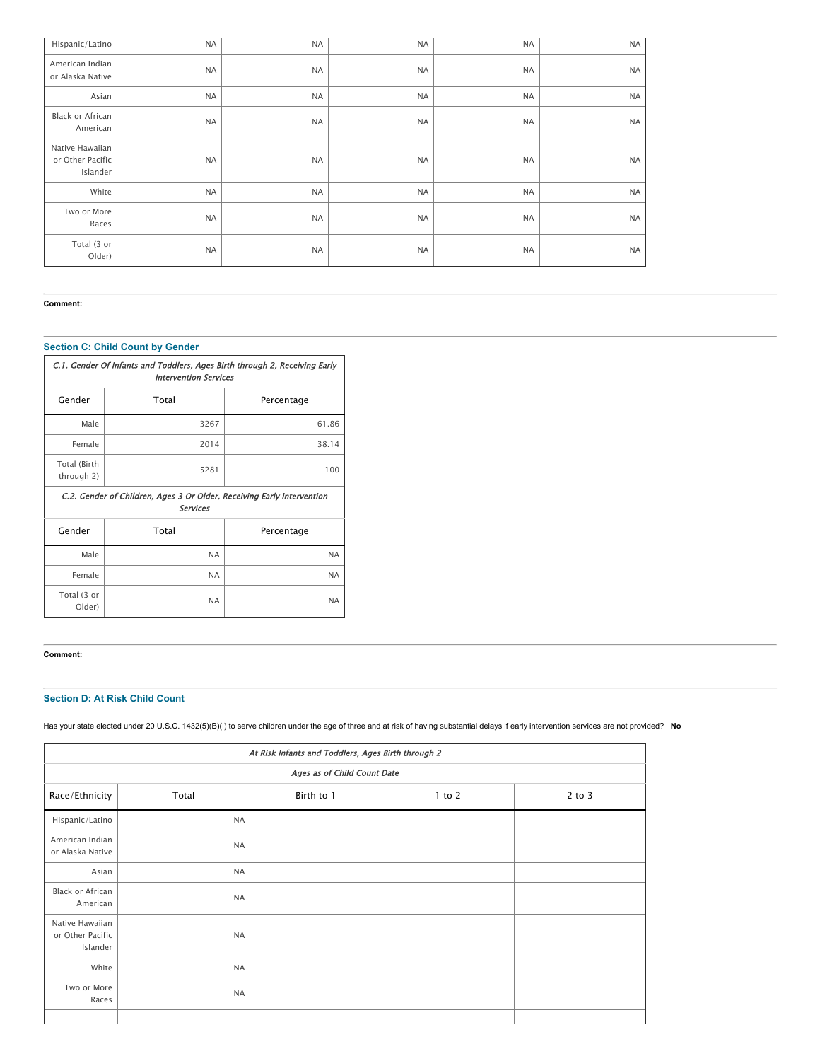| Hispanic/Latino                                 | <b>NA</b> | <b>NA</b> | <b>NA</b> | <b>NA</b> | <b>NA</b> |
|-------------------------------------------------|-----------|-----------|-----------|-----------|-----------|
| American Indian<br>or Alaska Native             | <b>NA</b> | <b>NA</b> | <b>NA</b> | <b>NA</b> | <b>NA</b> |
| Asian                                           | <b>NA</b> | <b>NA</b> | <b>NA</b> | <b>NA</b> | <b>NA</b> |
| Black or African<br>American                    | <b>NA</b> | $\sf NA$  | <b>NA</b> | <b>NA</b> | <b>NA</b> |
| Native Hawaiian<br>or Other Pacific<br>Islander | <b>NA</b> | <b>NA</b> | <b>NA</b> | <b>NA</b> | <b>NA</b> |
| White                                           | <b>NA</b> | <b>NA</b> | <b>NA</b> | <b>NA</b> | <b>NA</b> |
| Two or More<br>Races                            | <b>NA</b> | <b>NA</b> | <b>NA</b> | <b>NA</b> | <b>NA</b> |
| Total (3 or<br>Older)                           | <b>NA</b> | <b>NA</b> | <b>NA</b> | <b>NA</b> | <b>NA</b> |

#### **Comment:**

# **Section C: Child Count by Gender**

| C.1. Gender Of Infants and Toddlers, Ages Birth through 2, Receiving Early<br><b>Intervention Services</b> |                                                                                    |            |  |  |  |  |
|------------------------------------------------------------------------------------------------------------|------------------------------------------------------------------------------------|------------|--|--|--|--|
| Gender                                                                                                     | Total                                                                              | Percentage |  |  |  |  |
| Male                                                                                                       | 3267                                                                               | 61.86      |  |  |  |  |
| Female                                                                                                     | 2014                                                                               | 38.14      |  |  |  |  |
| Total (Birth<br>through 2)                                                                                 | 5281                                                                               | 100        |  |  |  |  |
|                                                                                                            | C.2. Gender of Children, Ages 3 Or Older, Receiving Early Intervention<br>Services |            |  |  |  |  |
| Gender                                                                                                     | Total                                                                              | Percentage |  |  |  |  |
|                                                                                                            |                                                                                    |            |  |  |  |  |
| Male                                                                                                       | <b>NA</b>                                                                          | <b>NA</b>  |  |  |  |  |
| Female                                                                                                     | <b>NA</b>                                                                          | <b>NA</b>  |  |  |  |  |

#### **Comment:**

## **Section D: At Risk Child Count**

Has your state elected under 20 U.S.C. 1432(5)(B)(i) to serve children under the age of three and at risk of having substantial delays if early intervention services are not provided? **No**

| At Risk Infants and Toddlers, Ages Birth through 2 |                             |            |            |            |  |  |
|----------------------------------------------------|-----------------------------|------------|------------|------------|--|--|
|                                                    | Ages as of Child Count Date |            |            |            |  |  |
| Race/Ethnicity                                     | Total                       | Birth to 1 | $1$ to $2$ | $2$ to $3$ |  |  |
| Hispanic/Latino                                    | <b>NA</b>                   |            |            |            |  |  |
| American Indian<br>or Alaska Native                | <b>NA</b>                   |            |            |            |  |  |
| Asian                                              | <b>NA</b>                   |            |            |            |  |  |
| Black or African<br>American                       | <b>NA</b>                   |            |            |            |  |  |
| Native Hawaiian<br>or Other Pacific<br>Islander    | <b>NA</b>                   |            |            |            |  |  |
| White                                              | <b>NA</b>                   |            |            |            |  |  |
| Two or More<br>Races                               | <b>NA</b>                   |            |            |            |  |  |
|                                                    |                             |            |            |            |  |  |